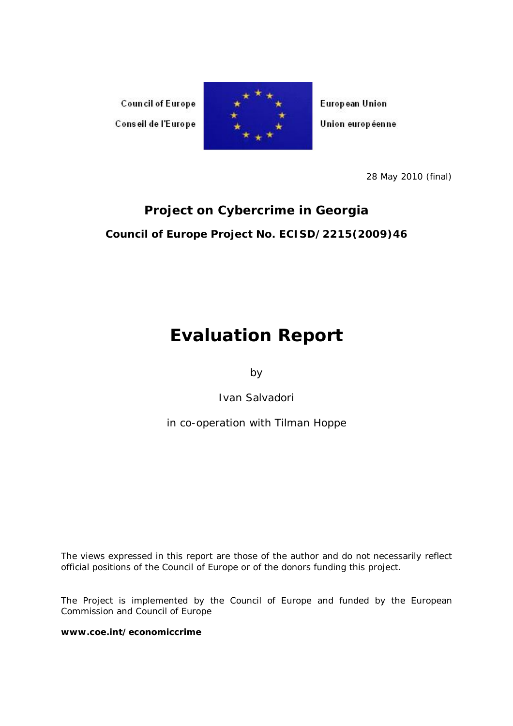**Council of Europe** Conseil de l'Europe



**European Union** Union européenne

28 May 2010 (final)

# **Project on Cybercrime in Georgia Council of Europe Project No. ECISD/2215(2009)46**

# **Evaluation Report**

by

Ivan Salvadori

in co-operation with Tilman Hoppe

*The views expressed in this report are those of the author and do not necessarily reflect official positions of the Council of Europe or of the donors funding this project.*

The Project is implemented by the Council of Europe and funded by the European Commission and Council of Europe

**www.coe.int/economiccrime**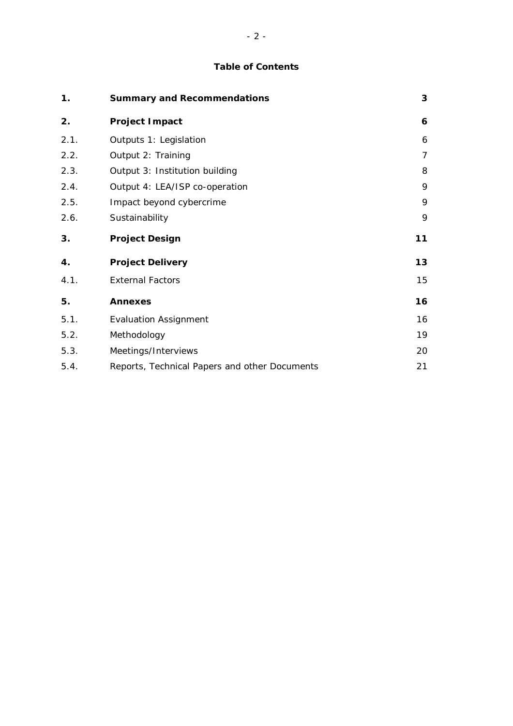# **Table of Contents**

| 1.   | <b>Summary and Recommendations</b> | 3  |
|------|------------------------------------|----|
| 2.   | Project Impact                     | 6  |
| 2.1. | Outputs 1: Legislation             | 6  |
| 2.2. | Output 2: Training                 | 7  |
| 2.3. | Output 3: Institution building     | 8  |
| 2.4. | Output 4: LEA/ISP co-operation     | 9  |
| 2.5. | Impact beyond cybercrime           | 9  |
| 2.6. | Sustainability                     | 9  |
|      |                                    |    |
| 3.   | <b>Project Design</b>              | 11 |
| 4.   | <b>Project Delivery</b>            | 13 |
| 4.1. | <b>External Factors</b>            | 15 |
| 5.   | <b>Annexes</b>                     | 16 |
| 5.1. | <b>Evaluation Assignment</b>       | 16 |
| 5.2. | Methodology                        | 19 |
| 5.3. | Meetings/Interviews                | 20 |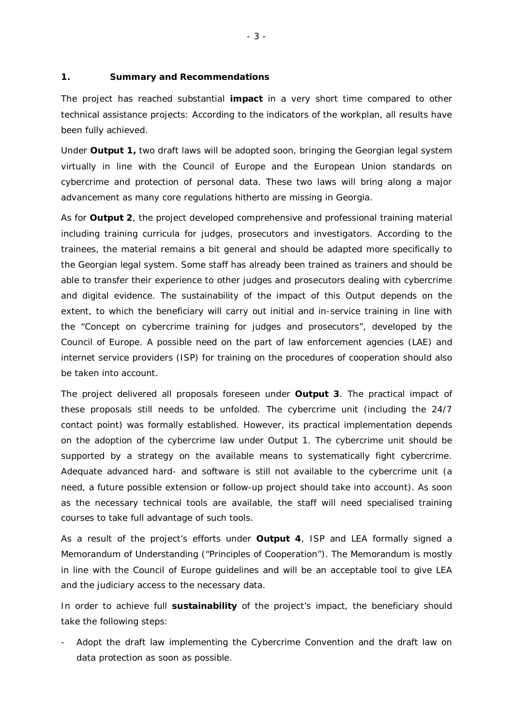## **1. Summary and Recommendations**

The project has reached substantial **impact** in a very short time compared to other technical assistance projects: According to the indicators of the workplan, all results have been fully achieved.

Under **Output 1,** two draft laws will be adopted soon, bringing the Georgian legal system virtually in line with the Council of Europe and the European Union standards on cybercrime and protection of personal data. These two laws will bring along a major advancement as many core regulations hitherto are missing in Georgia.

As for **Output 2**, the project developed comprehensive and professional training material including training curricula for judges, prosecutors and investigators. According to the trainees, the material remains a bit general and should be adapted more specifically to the Georgian legal system. Some staff has already been trained as trainers and should be able to transfer their experience to other judges and prosecutors dealing with cybercrime and digital evidence. The sustainability of the impact of this Output depends on the extent, to which the beneficiary will carry out initial and in-service training in line with the "Concept on cybercrime training for judges and prosecutors", developed by the Council of Europe. A possible need on the part of law enforcement agencies (LAE) and internet service providers (ISP) for training on the procedures of cooperation should also be taken into account.

The project delivered all proposals foreseen under **Output 3**. The practical impact of these proposals still needs to be unfolded. The cybercrime unit (including the 24/7 contact point) was formally established. However, its practical implementation depends on the adoption of the cybercrime law under Output 1. The cybercrime unit should be supported by a strategy on the available means to systematically fight cybercrime. Adequate advanced hard- and software is still not available to the cybercrime unit (a need, a future possible extension or follow-up project should take into account). As soon as the necessary technical tools are available, the staff will need specialised training courses to take full advantage of such tools.

As a result of the project's efforts under **Output 4**, ISP and LEA formally signed a Memorandum of Understanding ("Principles of Cooperation"). The Memorandum is mostly in line with the Council of Europe guidelines and will be an acceptable tool to give LEA and the judiciary access to the necessary data.

In order to achieve full **sustainability** of the project's impact, the beneficiary should take the following steps:

Adopt the draft law implementing the Cybercrime Convention and the draft law on data protection as soon as possible.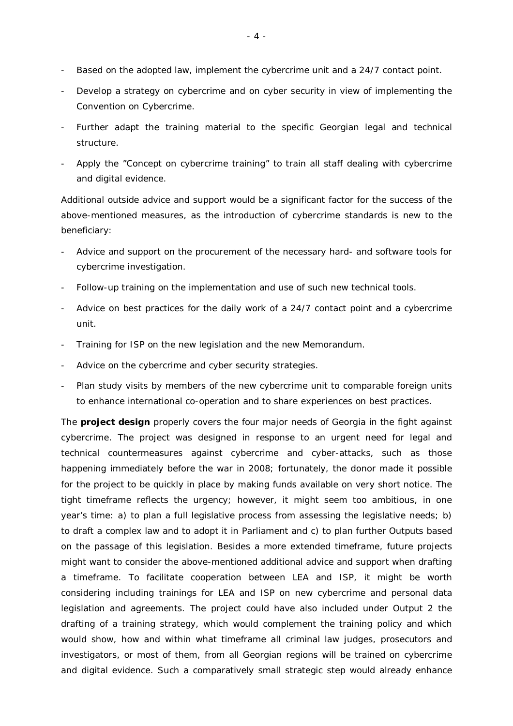- Based on the adopted law, implement the cybercrime unit and a 24/7 contact point.
- Develop a strategy on cybercrime and on cyber security in view of implementing the Convention on Cybercrime.
- Further adapt the training material to the specific Georgian legal and technical structure.
- Apply the "Concept on cybercrime training" to train all staff dealing with cybercrime and digital evidence.

Additional outside advice and support would be a significant factor for the success of the above-mentioned measures, as the introduction of cybercrime standards is new to the beneficiary:

- Advice and support on the procurement of the necessary hard- and software tools for cybercrime investigation.
- Follow-up training on the implementation and use of such new technical tools.
- Advice on best practices for the daily work of a 24/7 contact point and a cybercrime unit.
- Training for ISP on the new legislation and the new Memorandum.
- Advice on the cybercrime and cyber security strategies.
- Plan study visits by members of the new cybercrime unit to comparable foreign units to enhance international co-operation and to share experiences on best practices.

The **project design** properly covers the four major needs of Georgia in the fight against cybercrime. The project was designed in response to an urgent need for legal and technical countermeasures against cybercrime and cyber-attacks, such as those happening immediately before the war in 2008; fortunately, the donor made it possible for the project to be quickly in place by making funds available on very short notice. The tight timeframe reflects the urgency; however, it might seem too ambitious, in one year's time: a) to plan a full legislative process from assessing the legislative needs; b) to draft a complex law and to adopt it in Parliament and c) to plan further Outputs based on the passage of this legislation. Besides a more extended timeframe, future projects might want to consider the above-mentioned additional advice and support when drafting a timeframe. To facilitate cooperation between LEA and ISP, it might be worth considering including trainings for LEA and ISP on new cybercrime and personal data legislation and agreements. The project could have also included under Output 2 the drafting of a training strategy, which would complement the training policy and which would show, how and within what timeframe all criminal law judges, prosecutors and investigators, or most of them, from all Georgian regions will be trained on cybercrime and digital evidence. Such a comparatively small strategic step would already enhance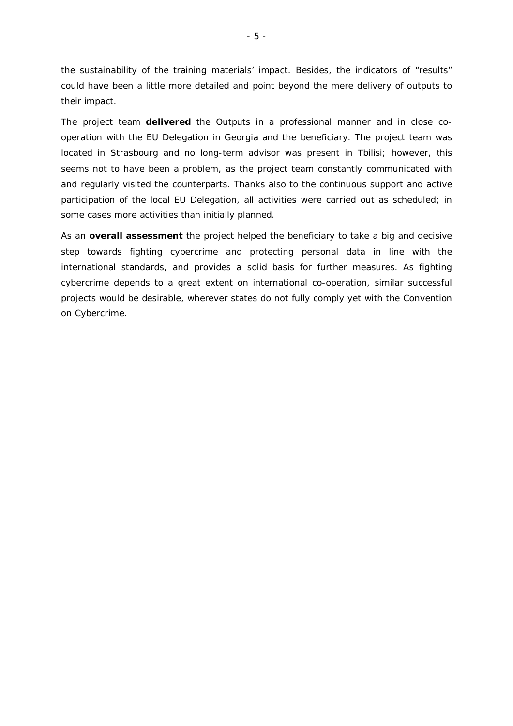the sustainability of the training materials' impact. Besides, the indicators of "results" could have been a little more detailed and point beyond the mere delivery of outputs to their impact.

The project team **delivered** the Outputs in a professional manner and in close cooperation with the EU Delegation in Georgia and the beneficiary. The project team was located in Strasbourg and no long-term advisor was present in Tbilisi; however, this seems not to have been a problem, as the project team constantly communicated with and regularly visited the counterparts. Thanks also to the continuous support and active participation of the local EU Delegation, all activities were carried out as scheduled; in some cases more activities than initially planned.

As an **overall assessment** the project helped the beneficiary to take a big and decisive step towards fighting cybercrime and protecting personal data in line with the international standards, and provides a solid basis for further measures. As fighting cybercrime depends to a great extent on international co-operation, similar successful projects would be desirable, wherever states do not fully comply yet with the Convention on Cybercrime.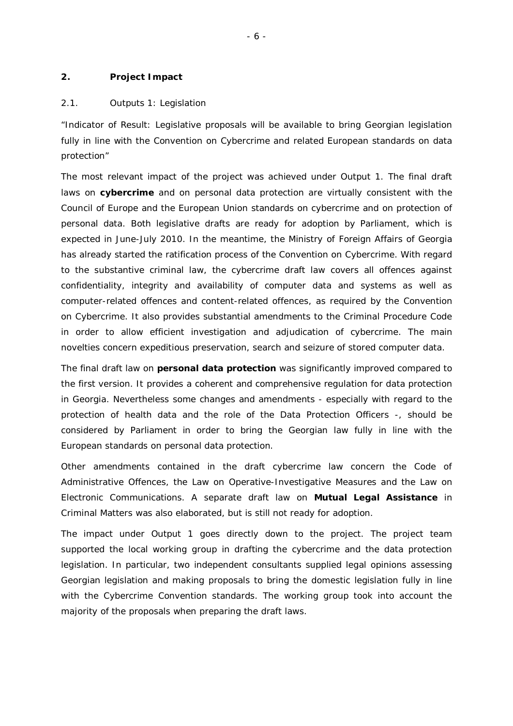## **2. Project Impact**

#### 2.1. Outputs 1: Legislation

*"Indicator of Result: Legislative proposals will be available to bring Georgian legislation fully in line with the Convention on Cybercrime and related European standards on data protection"*

The most relevant impact of the project was achieved under Output 1. The final draft laws on **cybercrime** and on personal data protection are virtually consistent with the Council of Europe and the European Union standards on cybercrime and on protection of personal data. Both legislative drafts are ready for adoption by Parliament, which is expected in June-July 2010. In the meantime, the Ministry of Foreign Affairs of Georgia has already started the ratification process of the Convention on Cybercrime. With regard to the substantive criminal law, the cybercrime draft law covers all offences against confidentiality, integrity and availability of computer data and systems as well as computer-related offences and content-related offences, as required by the Convention on Cybercrime. It also provides substantial amendments to the Criminal Procedure Code in order to allow efficient investigation and adjudication of cybercrime. The main novelties concern expeditious preservation, search and seizure of stored computer data.

The final draft law on **personal data protection** was significantly improved compared to the first version. It provides a coherent and comprehensive regulation for data protection in Georgia. Nevertheless some changes and amendments - especially with regard to the protection of health data and the role of the Data Protection Officers -, should be considered by Parliament in order to bring the Georgian law fully in line with the European standards on personal data protection.

Other amendments contained in the draft cybercrime law concern the Code of Administrative Offences, the Law on Operative-Investigative Measures and the Law on Electronic Communications. A separate draft law on **Mutual Legal Assistance** in Criminal Matters was also elaborated, but is still not ready for adoption.

The impact under Output 1 goes directly down to the project. The project team supported the local working group in drafting the cybercrime and the data protection legislation. In particular, two independent consultants supplied legal opinions assessing Georgian legislation and making proposals to bring the domestic legislation fully in line with the Cybercrime Convention standards. The working group took into account the majority of the proposals when preparing the draft laws.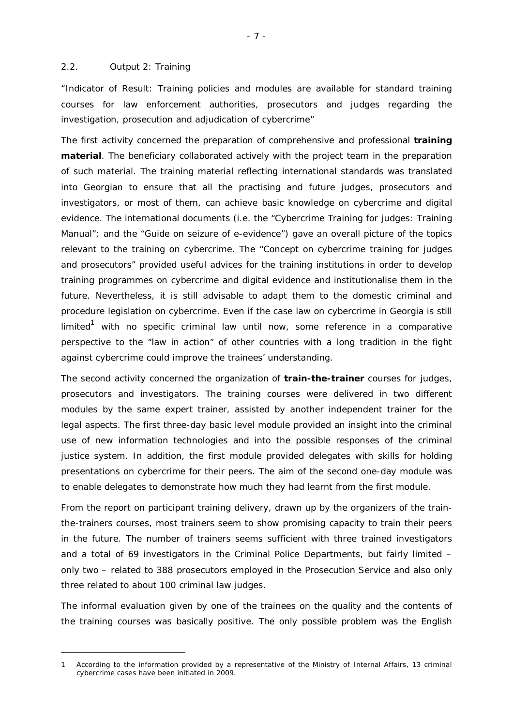## 2.2. Output 2: Training

 $\overline{a}$ 

*"Indicator of Result: Training policies and modules are available for standard training courses for law enforcement authorities, prosecutors and judges regarding the investigation, prosecution and adjudication of cybercrime"* 

The first activity concerned the preparation of comprehensive and professional **training material**. The beneficiary collaborated actively with the project team in the preparation of such material. The training material reflecting international standards was translated into Georgian to ensure that all the practising and future judges, prosecutors and investigators, or most of them, can achieve basic knowledge on cybercrime and digital evidence. The international documents (i.e. the "Cybercrime Training for judges: Training Manual"; and the "Guide on seizure of e-evidence") gave an overall picture of the topics relevant to the training on cybercrime. The "Concept on cybercrime training for judges and prosecutors" provided useful advices for the training institutions in order to develop training programmes on cybercrime and digital evidence and institutionalise them in the future. Nevertheless, it is still advisable to adapt them to the domestic criminal and procedure legislation on cybercrime. Even if the case law on cybercrime in Georgia is still limited $^1$  with no specific criminal law until now, some reference in a comparative perspective to the "law in action" of other countries with a long tradition in the fight against cybercrime could improve the trainees' understanding.

The second activity concerned the organization of **train-the-trainer** courses for judges, prosecutors and investigators. The training courses were delivered in two different modules by the same expert trainer, assisted by another independent trainer for the legal aspects. The first three-day basic level module provided an insight into the criminal use of new information technologies and into the possible responses of the criminal justice system. In addition, the first module provided delegates with skills for holding presentations on cybercrime for their peers. The aim of the second one-day module was to enable delegates to demonstrate how much they had learnt from the first module.

From the report on participant training delivery, drawn up by the organizers of the trainthe-trainers courses, most trainers seem to show promising capacity to train their peers in the future. The number of trainers seems sufficient with three trained investigators and a total of 69 investigators in the Criminal Police Departments, but fairly limited – only two – related to 388 prosecutors employed in the Prosecution Service and also only three related to about 100 criminal law judges.

The informal evaluation given by one of the trainees on the quality and the contents of the training courses was basically positive. The only possible problem was the English

<sup>1</sup> According to the information provided by a representative of the Ministry of Internal Affairs, 13 criminal cybercrime cases have been initiated in 2009.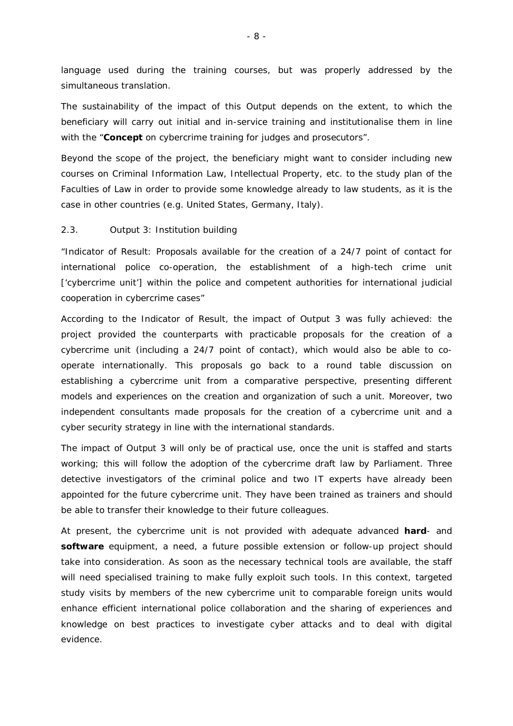language used during the training courses, but was properly addressed by the simultaneous translation.

The sustainability of the impact of this Output depends on the extent, to which the beneficiary will carry out initial and in-service training and institutionalise them in line with the "**Concept** on cybercrime training for judges and prosecutors".

Beyond the scope of the project, the beneficiary might want to consider including new courses on Criminal Information Law, Intellectual Property, etc. to the study plan of the Faculties of Law in order to provide some knowledge already to law students, as it is the case in other countries (e.g. United States, Germany, Italy).

# 2.3. Output 3: Institution building

*"Indicator of Result: Proposals available for the creation of a 24/7 point of contact for international police co-operation, the establishment of a high-tech crime unit ['cybercrime unit'] within the police and competent authorities for international judicial cooperation in cybercrime cases"* 

According to the Indicator of Result, the impact of Output 3 was fully achieved: the project provided the counterparts with practicable proposals for the creation of a cybercrime unit (including a 24/7 point of contact), which would also be able to cooperate internationally. This proposals go back to a round table discussion on establishing a cybercrime unit from a comparative perspective, presenting different models and experiences on the creation and organization of such a unit. Moreover, two independent consultants made proposals for the creation of a cybercrime unit and a cyber security strategy in line with the international standards.

The impact of Output 3 will only be of practical use, once the unit is staffed and starts working; this will follow the adoption of the cybercrime draft law by Parliament. Three detective investigators of the criminal police and two IT experts have already been appointed for the future cybercrime unit. They have been trained as trainers and should be able to transfer their knowledge to their future colleagues.

At present, the cybercrime unit is not provided with adequate advanced **hard**- and **software** equipment, a need, a future possible extension or follow-up project should take into consideration. As soon as the necessary technical tools are available, the staff will need specialised training to make fully exploit such tools. In this context, targeted study visits by members of the new cybercrime unit to comparable foreign units would enhance efficient international police collaboration and the sharing of experiences and knowledge on best practices to investigate cyber attacks and to deal with digital evidence.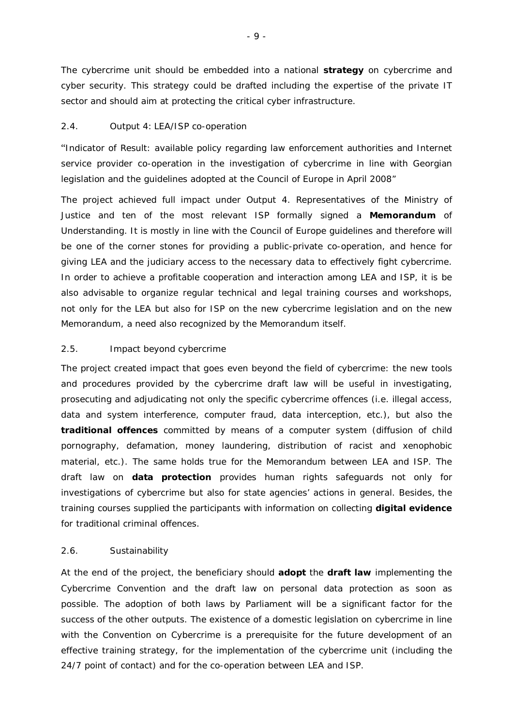The cybercrime unit should be embedded into a national **strategy** on cybercrime and cyber security. This strategy could be drafted including the expertise of the private IT sector and should aim at protecting the critical cyber infrastructure.

# 2.4. Output 4: LEA/ISP co-operation

"*Indicator of Result: available policy regarding law enforcement authorities and Internet service provider co-operation in the investigation of cybercrime in line with Georgian legislation and the guidelines adopted at the Council of Europe in April 2008"* 

The project achieved full impact under Output 4. Representatives of the Ministry of Justice and ten of the most relevant ISP formally signed a **Memorandum** of Understanding. It is mostly in line with the Council of Europe guidelines and therefore will be one of the corner stones for providing a public-private co-operation, and hence for giving LEA and the judiciary access to the necessary data to effectively fight cybercrime. In order to achieve a profitable cooperation and interaction among LEA and ISP, it is be also advisable to organize regular technical and legal training courses and workshops, not only for the LEA but also for ISP on the new cybercrime legislation and on the new Memorandum, a need also recognized by the Memorandum itself.

# 2.5. Impact beyond cybercrime

The project created impact that goes even beyond the field of cybercrime: the new tools and procedures provided by the cybercrime draft law will be useful in investigating, prosecuting and adjudicating not only the specific cybercrime offences (i.e. illegal access, data and system interference, computer fraud, data interception, etc.), but also the **traditional offences** committed by means of a computer system (diffusion of child pornography, defamation, money laundering, distribution of racist and xenophobic material, etc.). The same holds true for the Memorandum between LEA and ISP. The draft law on **data protection** provides human rights safeguards not only for investigations of cybercrime but also for state agencies' actions in general. Besides, the training courses supplied the participants with information on collecting **digital evidence**  for traditional criminal offences.

# 2.6. Sustainability

At the end of the project, the beneficiary should **adopt** the **draft law** implementing the Cybercrime Convention and the draft law on personal data protection as soon as possible. The adoption of both laws by Parliament will be a significant factor for the success of the other outputs. The existence of a domestic legislation on cybercrime in line with the Convention on Cybercrime is a prerequisite for the future development of an effective training strategy, for the implementation of the cybercrime unit (including the 24/7 point of contact) and for the co-operation between LEA and ISP.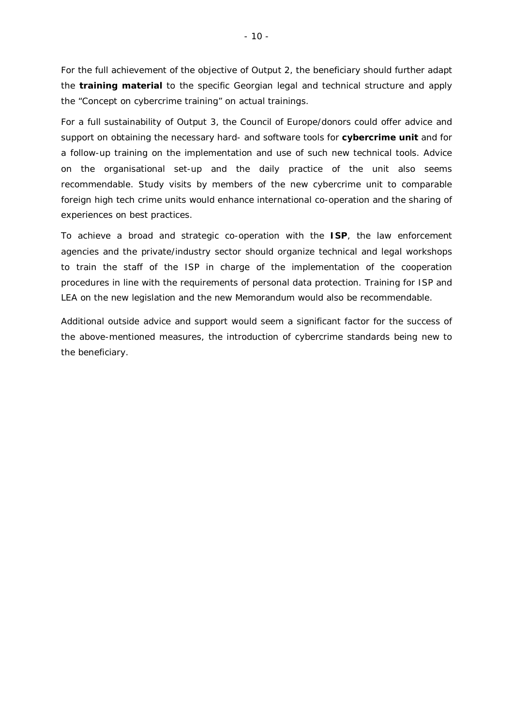For the full achievement of the objective of Output 2, the beneficiary should further adapt the **training material** to the specific Georgian legal and technical structure and apply the "Concept on cybercrime training" on actual trainings.

For a full sustainability of Output 3, the Council of Europe/donors could offer advice and support on obtaining the necessary hard- and software tools for **cybercrime unit** and for a follow-up training on the implementation and use of such new technical tools. Advice on the organisational set-up and the daily practice of the unit also seems recommendable. Study visits by members of the new cybercrime unit to comparable foreign high tech crime units would enhance international co-operation and the sharing of experiences on best practices.

To achieve a broad and strategic co-operation with the **ISP**, the law enforcement agencies and the private/industry sector should organize technical and legal workshops to train the staff of the ISP in charge of the implementation of the cooperation procedures in line with the requirements of personal data protection. Training for ISP and LEA on the new legislation and the new Memorandum would also be recommendable.

Additional outside advice and support would seem a significant factor for the success of the above-mentioned measures, the introduction of cybercrime standards being new to the beneficiary.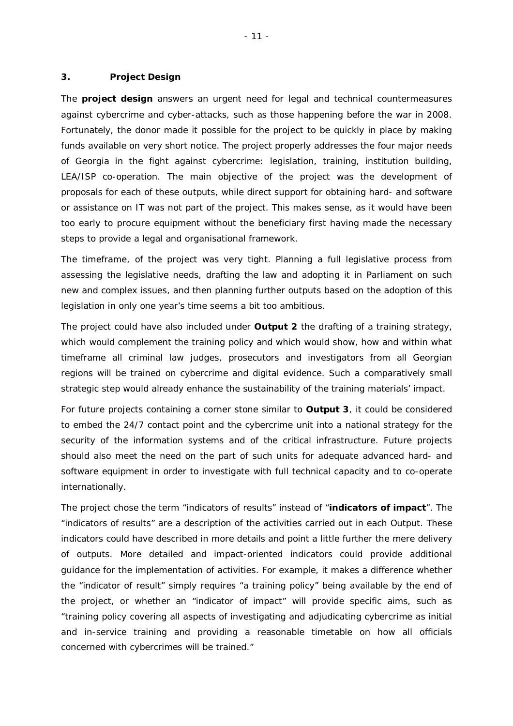### **3. Project Design**

The **project design** answers an urgent need for legal and technical countermeasures against cybercrime and cyber-attacks, such as those happening before the war in 2008. Fortunately, the donor made it possible for the project to be quickly in place by making funds available on very short notice. The project properly addresses the four major needs of Georgia in the fight against cybercrime: legislation, training, institution building, LEA/ISP co-operation. The main objective of the project was the development of proposals for each of these outputs, while direct support for obtaining hard- and software or assistance on IT was not part of the project. This makes sense, as it would have been too early to procure equipment without the beneficiary first having made the necessary steps to provide a legal and organisational framework.

The timeframe, of the project was very tight. Planning a full legislative process from assessing the legislative needs, drafting the law and adopting it in Parliament on such new and complex issues, and then planning further outputs based on the adoption of this legislation in only one year's time seems a bit too ambitious.

The project could have also included under **Output 2** the drafting of a training strategy, which would complement the training policy and which would show, how and within what timeframe all criminal law judges, prosecutors and investigators from all Georgian regions will be trained on cybercrime and digital evidence. Such a comparatively small strategic step would already enhance the sustainability of the training materials' impact.

For future projects containing a corner stone similar to **Output 3**, it could be considered to embed the 24/7 contact point and the cybercrime unit into a national strategy for the security of the information systems and of the critical infrastructure. Future projects should also meet the need on the part of such units for adequate advanced hard- and software equipment in order to investigate with full technical capacity and to co-operate internationally.

The project chose the term "indicators of results" instead of "**indicators of impact**". The "indicators of results" are a description of the activities carried out in each Output. These indicators could have described in more details and point a little further the mere delivery of outputs. More detailed and impact-oriented indicators could provide additional guidance for the implementation of activities. For example, it makes a difference whether the "indicator of result" simply requires "a training policy" being available by the end of the project, or whether an "indicator of impact" will provide specific aims, such as "training policy covering all aspects of investigating and adjudicating cybercrime as initial and in-service training and providing a reasonable timetable on how all officials concerned with cybercrimes will be trained."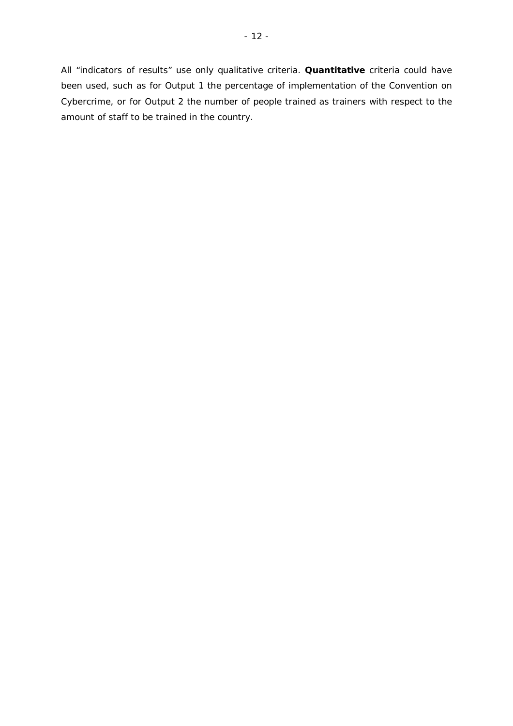All "indicators of results" use only qualitative criteria. **Quantitative** criteria could have been used, such as for Output 1 the percentage of implementation of the Convention on Cybercrime, or for Output 2 the number of people trained as trainers with respect to the amount of staff to be trained in the country.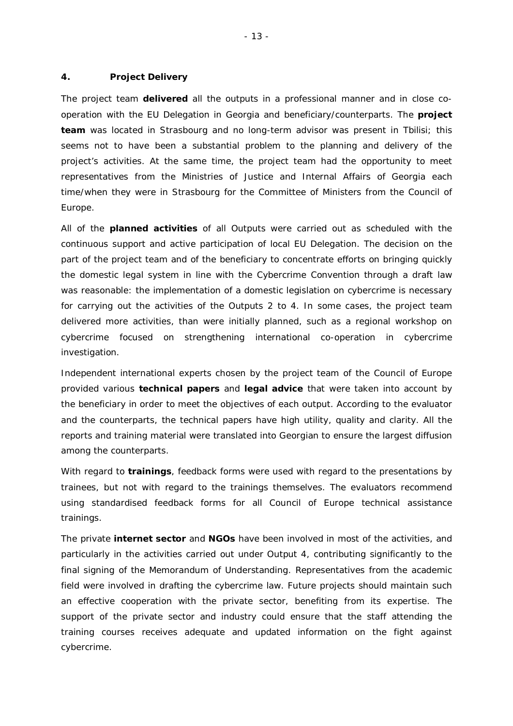## **4. Project Delivery**

The project team **delivered** all the outputs in a professional manner and in close cooperation with the EU Delegation in Georgia and beneficiary/counterparts. The **project team** was located in Strasbourg and no long-term advisor was present in Tbilisi; this seems not to have been a substantial problem to the planning and delivery of the project's activities. At the same time, the project team had the opportunity to meet representatives from the Ministries of Justice and Internal Affairs of Georgia each time/when they were in Strasbourg for the Committee of Ministers from the Council of Europe.

All of the **planned activities** of all Outputs were carried out as scheduled with the continuous support and active participation of local EU Delegation. The decision on the part of the project team and of the beneficiary to concentrate efforts on bringing quickly the domestic legal system in line with the Cybercrime Convention through a draft law was reasonable: the implementation of a domestic legislation on cybercrime is necessary for carrying out the activities of the Outputs 2 to 4. In some cases, the project team delivered more activities, than were initially planned, such as a regional workshop on cybercrime focused on strengthening international co-operation in cybercrime investigation.

Independent international experts chosen by the project team of the Council of Europe provided various **technical papers** and **legal advice** that were taken into account by the beneficiary in order to meet the objectives of each output. According to the evaluator and the counterparts, the technical papers have high utility, quality and clarity. All the reports and training material were translated into Georgian to ensure the largest diffusion among the counterparts.

With regard to **trainings**, feedback forms were used with regard to the presentations by trainees, but not with regard to the trainings themselves. The evaluators recommend using standardised feedback forms for all Council of Europe technical assistance trainings.

The private **internet sector** and **NGOs** have been involved in most of the activities, and particularly in the activities carried out under Output 4, contributing significantly to the final signing of the Memorandum of Understanding. Representatives from the academic field were involved in drafting the cybercrime law. Future projects should maintain such an effective cooperation with the private sector, benefiting from its expertise. The support of the private sector and industry could ensure that the staff attending the training courses receives adequate and updated information on the fight against cybercrime.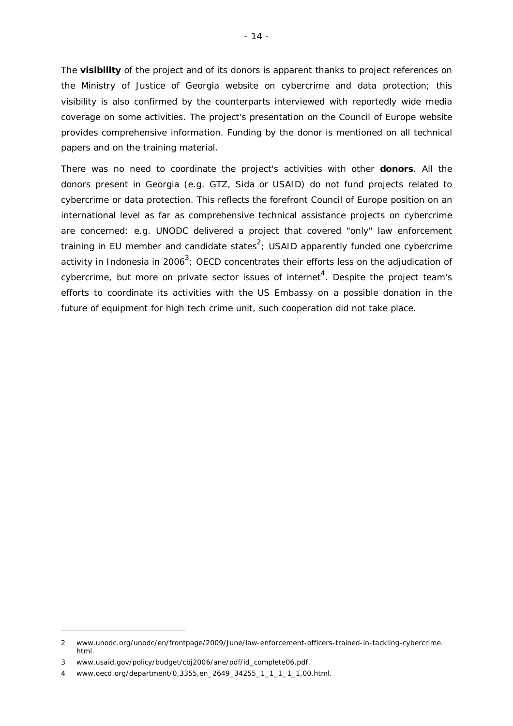The **visibility** of the project and of its donors is apparent thanks to project references on the Ministry of Justice of Georgia website on cybercrime and data protection; this visibility is also confirmed by the counterparts interviewed with reportedly wide media coverage on some activities. The project's presentation on the Council of Europe website provides comprehensive information. Funding by the donor is mentioned on all technical papers and on the training material.

There was no need to coordinate the project's activities with other **donors**. All the donors present in Georgia (e.g. GTZ, Sida or USAID) do not fund projects related to cybercrime or data protection. This reflects the forefront Council of Europe position on an international level as far as comprehensive technical assistance projects on cybercrime are concerned: e.g. UNODC delivered a project that covered "only" law enforcement training in EU member and candidate states<sup>2</sup>; USAID apparently funded one cybercrime activity in Indonesia in 2006<sup>3</sup>; OECD concentrates their efforts less on the adjudication of cybercrime, but more on private sector issues of internet<sup>4</sup>. Despite the project team's efforts to coordinate its activities with the US Embassy on a possible donation in the future of equipment for high tech crime unit, such cooperation did not take place.

 $\overline{a}$ 

<sup>2</sup> www.unodc.org/unodc/en/frontpage/2009/June/law-enforcement-officers-trained-in-tackling-cybercrime. html.

<sup>3</sup> www.usaid.gov/policy/budget/cbj2006/ane/pdf/id\_complete06.pdf.

<sup>4</sup> www.oecd.org/department/0,3355,en\_2649\_34255\_1\_1\_1\_1\_1,00.html.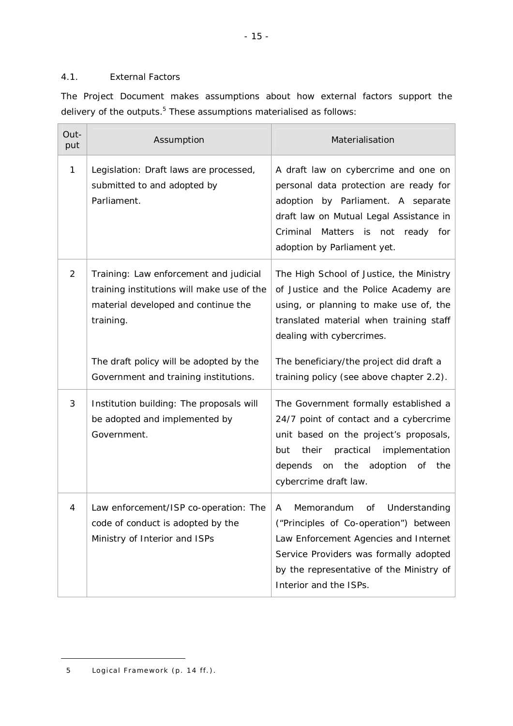# 4.1. External Factors

The Project Document makes assumptions about how external factors support the delivery of the outputs.<sup>5</sup> These assumptions materialised as follows:

| Out-<br>put    | Assumption                                                                                                                               | Materialisation                                                                                                                                                                                                                           |
|----------------|------------------------------------------------------------------------------------------------------------------------------------------|-------------------------------------------------------------------------------------------------------------------------------------------------------------------------------------------------------------------------------------------|
| 1              | Legislation: Draft laws are processed,<br>submitted to and adopted by<br>Parliament.                                                     | A draft law on cybercrime and one on<br>personal data protection are ready for<br>adoption by Parliament. A separate<br>draft law on Mutual Legal Assistance in<br>Criminal Matters is not ready for<br>adoption by Parliament yet.       |
| $\overline{2}$ | Training: Law enforcement and judicial<br>training institutions will make use of the<br>material developed and continue the<br>training. | The High School of Justice, the Ministry<br>of Justice and the Police Academy are<br>using, or planning to make use of, the<br>translated material when training staff<br>dealing with cybercrimes.                                       |
|                | The draft policy will be adopted by the<br>Government and training institutions.                                                         | The beneficiary/the project did draft a<br>training policy (see above chapter 2.2).                                                                                                                                                       |
| 3              | Institution building: The proposals will<br>be adopted and implemented by<br>Government.                                                 | The Government formally established a<br>24/7 point of contact and a cybercrime<br>unit based on the project's proposals,<br>their<br>practical<br>implementation<br>but<br>adoption of<br>depends on the<br>the<br>cybercrime draft law. |
| 4              | Law enforcement/ISP co-operation: The<br>code of conduct is adopted by the<br>Ministry of Interior and ISPs                              | Understanding<br>A<br>Memorandum<br>οf<br>("Principles of Co-operation") between<br>Law Enforcement Agencies and Internet<br>Service Providers was formally adopted<br>by the representative of the Ministry of<br>Interior and the ISPs. |

 $\overline{a}$ 

<sup>5</sup> Logical Framework (p. 14 ff.).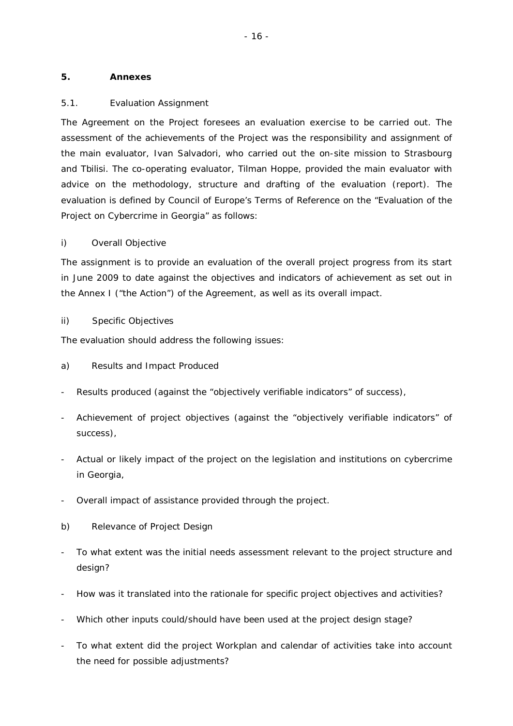# **5. Annexes**

# 5.1. Evaluation Assignment

The Agreement on the Project foresees an evaluation exercise to be carried out. The assessment of the achievements of the Project was the responsibility and assignment of the main evaluator, Ivan Salvadori, who carried out the on-site mission to Strasbourg and Tbilisi. The co-operating evaluator, Tilman Hoppe, provided the main evaluator with advice on the methodology, structure and drafting of the evaluation (report). The evaluation is defined by Council of Europe's Terms of Reference on the "Evaluation of the Project on Cybercrime in Georgia" as follows:

# *i) Overall Objective*

The assignment is to provide an evaluation of the overall project progress from its start in June 2009 to date against the objectives and indicators of achievement as set out in the Annex I ("the Action") of the Agreement, as well as its overall impact.

# *ii) Specific Objectives*

The evaluation should address the following issues:

- a) Results and Impact Produced
- Results produced (against the "objectively verifiable indicators" of success),
- Achievement of project objectives (against the "objectively verifiable indicators" of success),
- Actual or likely impact of the project on the legislation and institutions on cybercrime in Georgia,
- Overall impact of assistance provided through the project.
- b) Relevance of Project Design
- To what extent was the initial needs assessment relevant to the project structure and design?
- How was it translated into the rationale for specific project objectives and activities?
- Which other inputs could/should have been used at the project design stage?
- To what extent did the project Workplan and calendar of activities take into account the need for possible adjustments?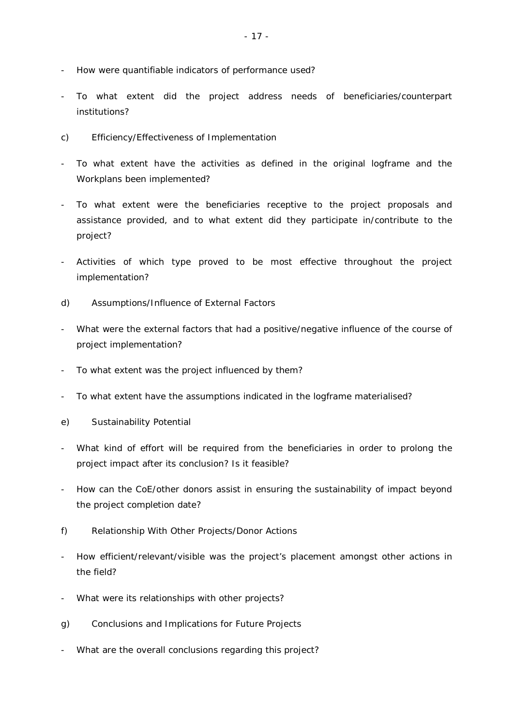- How were quantifiable indicators of performance used?
- To what extent did the project address needs of beneficiaries/counterpart institutions?
- c) Efficiency/Effectiveness of Implementation
- To what extent have the activities as defined in the original logframe and the Workplans been implemented?
- To what extent were the beneficiaries receptive to the project proposals and assistance provided, and to what extent did they participate in/contribute to the project?
- Activities of which type proved to be most effective throughout the project implementation?
- d) Assumptions/Influence of External Factors
- What were the external factors that had a positive/negative influence of the course of project implementation?
- To what extent was the project influenced by them?
- To what extent have the assumptions indicated in the logframe materialised?
- e) Sustainability Potential
- What kind of effort will be required from the beneficiaries in order to prolong the project impact after its conclusion? Is it feasible?
- How can the CoE/other donors assist in ensuring the sustainability of impact beyond the project completion date?
- f) Relationship With Other Projects/Donor Actions
- How efficient/relevant/visible was the project's placement amongst other actions in the field?
- What were its relationships with other projects?
- g) Conclusions and Implications for Future Projects
- What are the overall conclusions regarding this project?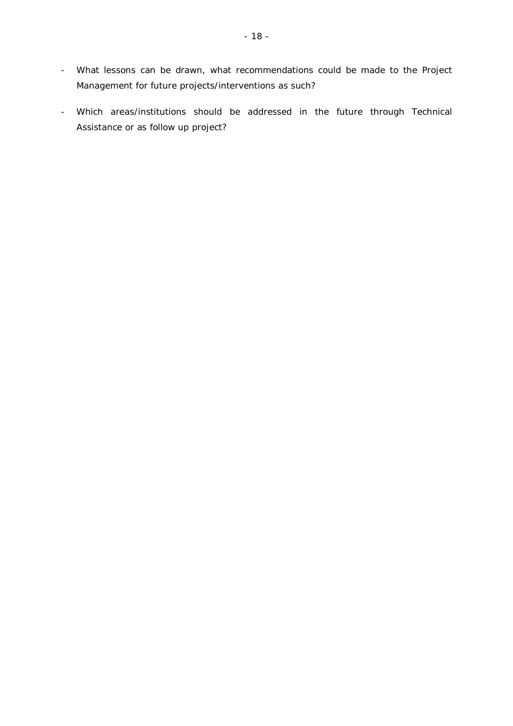- What lessons can be drawn, what recommendations could be made to the Project Management for future projects/interventions as such?
- Which areas/institutions should be addressed in the future through Technical Assistance or as follow up project?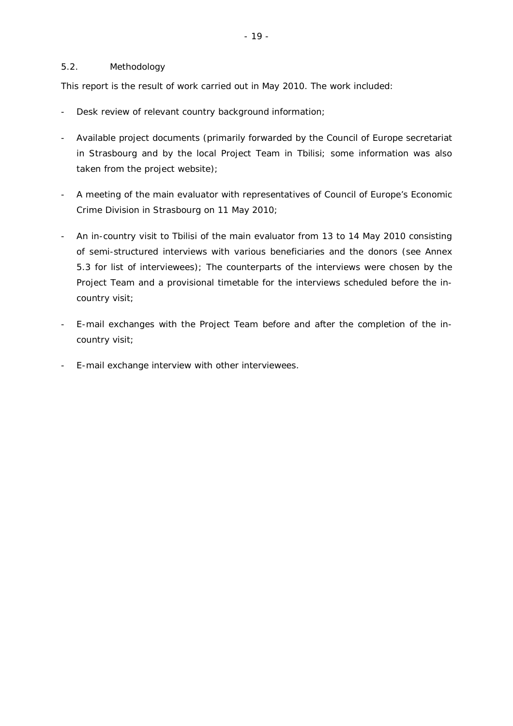# 5.2. Methodology

This report is the result of work carried out in May 2010. The work included:

- Desk review of relevant country background information;
- Available project documents (primarily forwarded by the Council of Europe secretariat in Strasbourg and by the local Project Team in Tbilisi; some information was also taken from the project website);
- A meeting of the main evaluator with representatives of Council of Europe's Economic Crime Division in Strasbourg on 11 May 2010;
- An in-country visit to Tbilisi of the main evaluator from 13 to 14 May 2010 consisting of semi-structured interviews with various beneficiaries and the donors (see Annex 5.3 for list of interviewees); The counterparts of the interviews were chosen by the Project Team and a provisional timetable for the interviews scheduled before the incountry visit;
- E-mail exchanges with the Project Team before and after the completion of the incountry visit;
- E-mail exchange interview with other interviewees.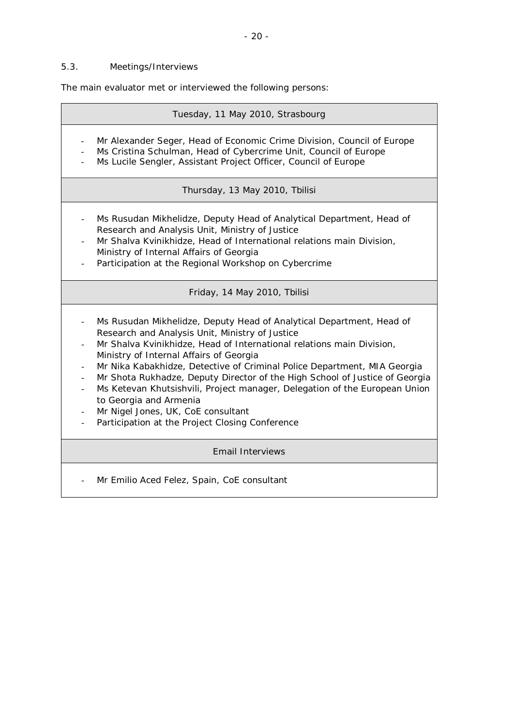# 5.3. Meetings/Interviews

The main evaluator met or interviewed the following persons:

|                                                                                                                                | Tuesday, 11 May 2010, Strasbourg                                                                                                                                                                                                                                                                                                                                                                                                                                                                                                                                                                        |
|--------------------------------------------------------------------------------------------------------------------------------|---------------------------------------------------------------------------------------------------------------------------------------------------------------------------------------------------------------------------------------------------------------------------------------------------------------------------------------------------------------------------------------------------------------------------------------------------------------------------------------------------------------------------------------------------------------------------------------------------------|
|                                                                                                                                | Mr Alexander Seger, Head of Economic Crime Division, Council of Europe<br>Ms Cristina Schulman, Head of Cybercrime Unit, Council of Europe<br>Ms Lucile Sengler, Assistant Project Officer, Council of Europe                                                                                                                                                                                                                                                                                                                                                                                           |
|                                                                                                                                | Thursday, 13 May 2010, Tbilisi                                                                                                                                                                                                                                                                                                                                                                                                                                                                                                                                                                          |
| $\blacksquare$                                                                                                                 | Ms Rusudan Mikhelidze, Deputy Head of Analytical Department, Head of<br>Research and Analysis Unit, Ministry of Justice<br>Mr Shalva Kvinikhidze, Head of International relations main Division,<br>Ministry of Internal Affairs of Georgia<br>Participation at the Regional Workshop on Cybercrime                                                                                                                                                                                                                                                                                                     |
|                                                                                                                                | Friday, 14 May 2010, Tbilisi                                                                                                                                                                                                                                                                                                                                                                                                                                                                                                                                                                            |
| $\overline{\phantom{a}}$<br>$\overline{\phantom{a}}$<br>$\overline{\phantom{a}}$<br>$\blacksquare$<br>$\overline{\phantom{a}}$ | Ms Rusudan Mikhelidze, Deputy Head of Analytical Department, Head of<br>Research and Analysis Unit, Ministry of Justice<br>Mr Shalva Kvinikhidze, Head of International relations main Division,<br>Ministry of Internal Affairs of Georgia<br>Mr Nika Kabakhidze, Detective of Criminal Police Department, MIA Georgia<br>Mr Shota Rukhadze, Deputy Director of the High School of Justice of Georgia<br>Ms Ketevan Khutsishvili, Project manager, Delegation of the European Union<br>to Georgia and Armenia<br>Mr Nigel Jones, UK, CoE consultant<br>Participation at the Project Closing Conference |
|                                                                                                                                | <b>Email Interviews</b>                                                                                                                                                                                                                                                                                                                                                                                                                                                                                                                                                                                 |
|                                                                                                                                | Mr Emilio Aced Felez, Spain, CoE consultant                                                                                                                                                                                                                                                                                                                                                                                                                                                                                                                                                             |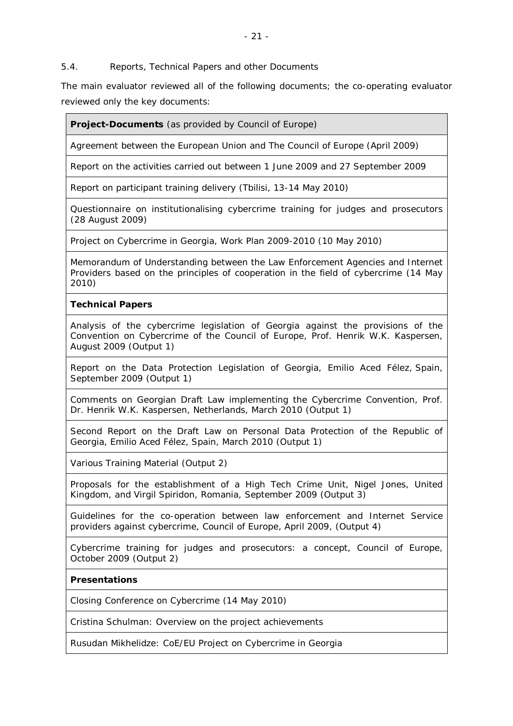5.4. Reports, Technical Papers and other Documents

The main evaluator reviewed all of the following documents; the co-operating evaluator reviewed only the key documents:

**Project-Documents** (as provided by Council of Europe)

Agreement between the European Union and The Council of Europe (April 2009)

Report on the activities carried out between 1 June 2009 and 27 September 2009

Report on participant training delivery (Tbilisi, 13-14 May 2010)

Questionnaire on institutionalising cybercrime training for judges and prosecutors (28 August 2009)

Project on Cybercrime in Georgia, Work Plan 2009-2010 (10 May 2010)

Memorandum of Understanding between the Law Enforcement Agencies and Internet Providers based on the principles of cooperation in the field of cybercrime (14 May 2010)

# **Technical Papers**

Analysis of the cybercrime legislation of Georgia against the provisions of the Convention on Cybercrime of the Council of Europe, Prof. Henrik W.K. Kaspersen, August 2009 (Output 1)

Report on the Data Protection Legislation of Georgia, Emilio Aced Félez, Spain, September 2009 (Output 1)

Comments on Georgian Draft Law implementing the Cybercrime Convention, Prof. Dr. Henrik W.K. Kaspersen, Netherlands, March 2010 (Output 1)

Second Report on the Draft Law on Personal Data Protection of the Republic of Georgia, Emilio Aced Félez, Spain, March 2010 (Output 1)

Various Training Material (Output 2)

Proposals for the establishment of a High Tech Crime Unit, Nigel Jones, United Kingdom, and Virgil Spiridon, Romania, September 2009 (Output 3)

Guidelines for the co-operation between law enforcement and Internet Service providers against cybercrime, Council of Europe, April 2009, (Output 4)

Cybercrime training for judges and prosecutors: a concept, Council of Europe, October 2009 (Output 2)

# **Presentations**

*Closing Conference on Cybercrime (14 May 2010)*

Cristina Schulman: Overview on the project achievements

Rusudan Mikhelidze: CoE/EU Project on Cybercrime in Georgia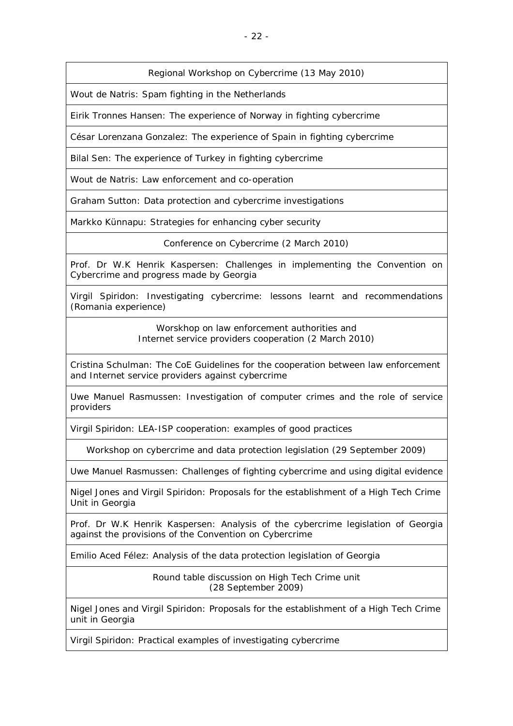# *Regional Workshop on Cybercrime (13 May 2010)*

Wout de Natris: Spam fighting in the Netherlands

Eirik Tronnes Hansen: The experience of Norway in fighting cybercrime

César Lorenzana Gonzalez: The experience of Spain in fighting cybercrime

Bilal Sen: The experience of Turkey in fighting cybercrime

Wout de Natris: Law enforcement and co-operation

Graham Sutton: Data protection and cybercrime investigations

Markko Künnapu: Strategies for enhancing cyber security

*Conference on Cybercrime (2 March 2010)*

Prof. Dr W.K Henrik Kaspersen: Challenges in implementing the Convention on Cybercrime and progress made by Georgia

Virgil Spiridon: Investigating cybercrime: lessons learnt and recommendations (Romania experience)

> *Worskhop on law enforcement authorities and Internet service providers cooperation (2 March 2010)*

Cristina Schulman: The CoE Guidelines for the cooperation between law enforcement and Internet service providers against cybercrime

Uwe Manuel Rasmussen: Investigation of computer crimes and the role of service providers

Virgil Spiridon: LEA-ISP cooperation: examples of good practices

*Workshop on cybercrime and data protection legislation (29 September 2009)*

Uwe Manuel Rasmussen: Challenges of fighting cybercrime and using digital evidence

Nigel Jones and Virgil Spiridon: Proposals for the establishment of a High Tech Crime Unit in Georgia

Prof. Dr W.K Henrik Kaspersen: Analysis of the cybercrime legislation of Georgia against the provisions of the Convention on Cybercrime

Emilio Aced Félez: Analysis of the data protection legislation of Georgia

*Round table discussion on High Tech Crime unit (28 September 2009)*

Nigel Jones and Virgil Spiridon: Proposals for the establishment of a High Tech Crime unit in Georgia

Virgil Spiridon: Practical examples of investigating cybercrime